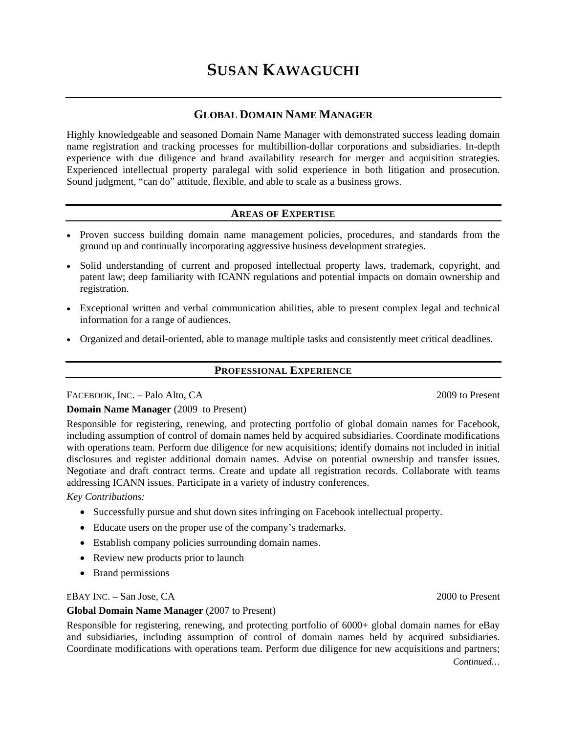# **SUSAN KAWAGUCHI**

# **GLOBAL DOMAIN NAME MANAGER**

Highly knowledgeable and seasoned Domain Name Manager with demonstrated success leading domain name registration and tracking processes for multibillion-dollar corporations and subsidiaries. In-depth experience with due diligence and brand availability research for merger and acquisition strategies. Experienced intellectual property paralegal with solid experience in both litigation and prosecution. Sound judgment, "can do" attitude, flexible, and able to scale as a business grows.

# **AREAS OF EXPERTISE**

- Proven success building domain name management policies, procedures, and standards from the ground up and continually incorporating aggressive business development strategies.
- Solid understanding of current and proposed intellectual property laws, trademark, copyright, and patent law; deep familiarity with ICANN regulations and potential impacts on domain ownership and registration.
- Exceptional written and verbal communication abilities, able to present complex legal and technical information for a range of audiences.
- Organized and detail-oriented, able to manage multiple tasks and consistently meet critical deadlines.

#### **PROFESSIONAL EXPERIENCE**

# FACEBOOK, INC. – Palo Alto, CA 2009 to Present

# **Domain Name Manager** (2009 to Present)

Responsible for registering, renewing, and protecting portfolio of global domain names for Facebook, including assumption of control of domain names held by acquired subsidiaries. Coordinate modifications with operations team. Perform due diligence for new acquisitions; identify domains not included in initial disclosures and register additional domain names. Advise on potential ownership and transfer issues. Negotiate and draft contract terms. Create and update all registration records. Collaborate with teams addressing ICANN issues. Participate in a variety of industry conferences.

#### *Key Contributions:*

- Successfully pursue and shut down sites infringing on Facebook intellectual property.
- Educate users on the proper use of the company's trademarks.
- Establish company policies surrounding domain names.
- Review new products prior to launch
- Brand permissions

EBAY INC. – San Jose, CA 2000 to Present

#### **Global Domain Name Manager** (2007 to Present)

Responsible for registering, renewing, and protecting portfolio of 6000+ global domain names for eBay and subsidiaries, including assumption of control of domain names held by acquired subsidiaries. Coordinate modifications with operations team. Perform due diligence for new acquisitions and partners;

*Continued…*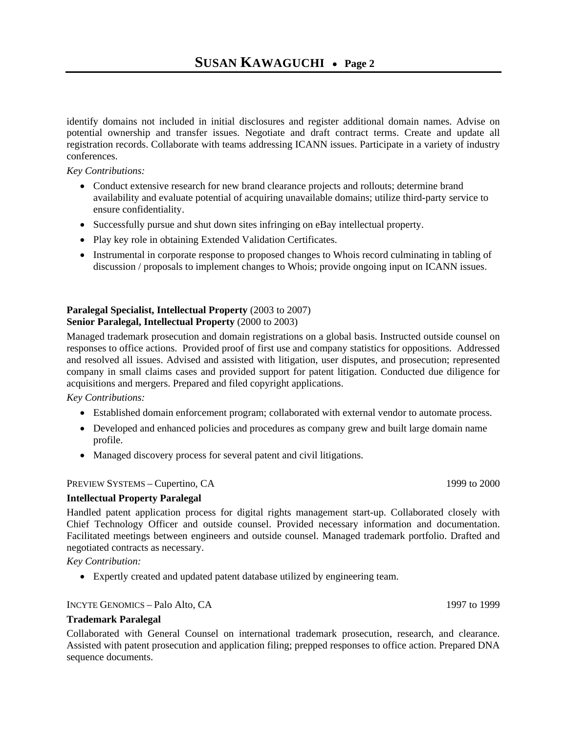identify domains not included in initial disclosures and register additional domain names. Advise on potential ownership and transfer issues. Negotiate and draft contract terms. Create and update all registration records. Collaborate with teams addressing ICANN issues. Participate in a variety of industry conferences.

#### *Key Contributions:*

- Conduct extensive research for new brand clearance projects and rollouts; determine brand availability and evaluate potential of acquiring unavailable domains; utilize third-party service to ensure confidentiality.
- Successfully pursue and shut down sites infringing on eBay intellectual property.
- Play key role in obtaining Extended Validation Certificates.
- Instrumental in corporate response to proposed changes to Whois record culminating in tabling of discussion / proposals to implement changes to Whois; provide ongoing input on ICANN issues.

# **Paralegal Specialist, Intellectual Property** (2003 to 2007) **Senior Paralegal, Intellectual Property** (2000 to 2003)

Managed trademark prosecution and domain registrations on a global basis. Instructed outside counsel on responses to office actions. Provided proof of first use and company statistics for oppositions. Addressed and resolved all issues. Advised and assisted with litigation, user disputes, and prosecution; represented company in small claims cases and provided support for patent litigation. Conducted due diligence for acquisitions and mergers. Prepared and filed copyright applications.

*Key Contributions:* 

- Established domain enforcement program; collaborated with external vendor to automate process.
- Developed and enhanced policies and procedures as company grew and built large domain name profile.
- Managed discovery process for several patent and civil litigations.

# PREVIEW SYSTEMS – Cupertino, CA 1999 to 2000

# **Intellectual Property Paralegal**

Handled patent application process for digital rights management start-up. Collaborated closely with Chief Technology Officer and outside counsel. Provided necessary information and documentation. Facilitated meetings between engineers and outside counsel. Managed trademark portfolio. Drafted and negotiated contracts as necessary.

*Key Contribution:* 

• Expertly created and updated patent database utilized by engineering team.

# INCYTE GENOMICS – Palo Alto, CA 1999 1997 to 1999

# **Trademark Paralegal**

Collaborated with General Counsel on international trademark prosecution, research, and clearance. Assisted with patent prosecution and application filing; prepped responses to office action. Prepared DNA sequence documents.